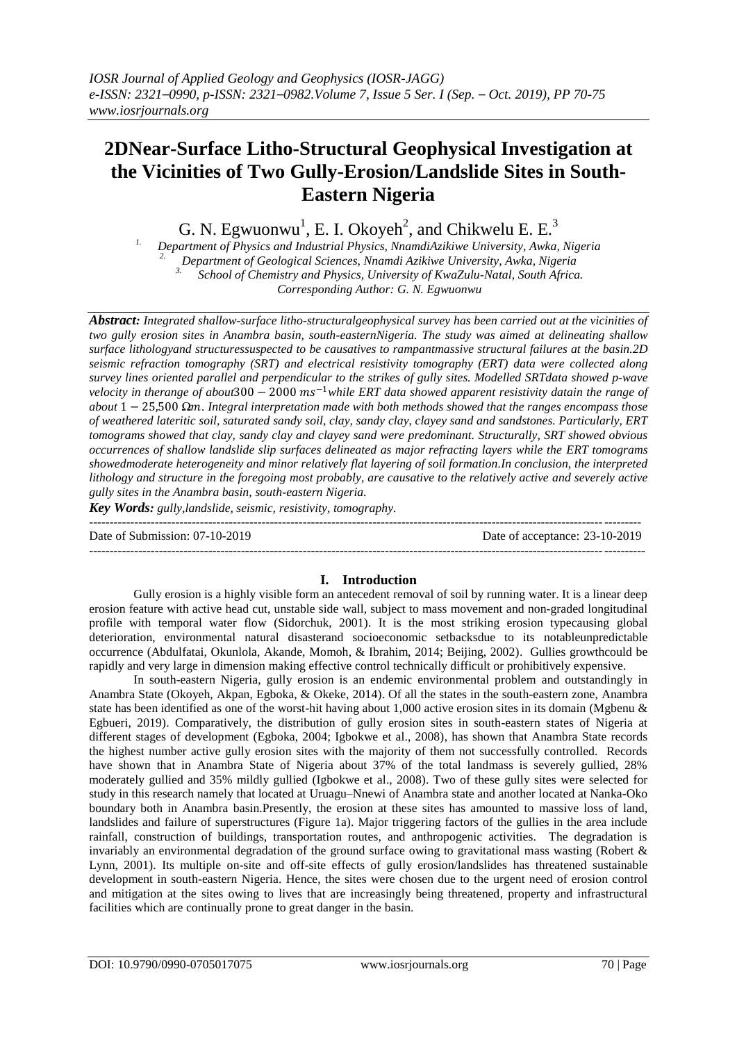# **2DNear-Surface Litho-Structural Geophysical Investigation at the Vicinities of Two Gully-Erosion/Landslide Sites in South-Eastern Nigeria**

G. N. Egwuonwu<sup>1</sup>, E. I. Okoyeh<sup>2</sup>, and Chikwelu E. E.<sup>3</sup>

*1. Department of Physics and Industrial Physics, NnamdiAzikiwe University, Awka, Nigeria 2. Department of Geological Sciences, Nnamdi Azikiwe University, Awka, Nigeria 3. School of Chemistry and Physics, University of KwaZulu-Natal, South Africa. Corresponding Author: G. N. Egwuonwu*

*Abstract: Integrated shallow-surface litho-structuralgeophysical survey has been carried out at the vicinities of two gully erosion sites in Anambra basin, south-easternNigeria. The study was aimed at delineating shallow surface lithologyand structuressuspected to be causatives to rampantmassive structural failures at the basin.2D seismic refraction tomography (SRT) and electrical resistivity tomography (ERT) data were collected along survey lines oriented parallel and perpendicular to the strikes of gully sites. Modelled SRTdata showed p-wave*   $v$ elocity in therange of about300 – 2000 ms<sup>-1</sup>while ERT data showed apparent resistivity datain the range of *about* 1− 25,500 *Ω. Integral interpretation made with both methods showed that the ranges encompass those of weathered lateritic soil, saturated sandy soil, clay, sandy clay, clayey sand and sandstones. Particularly, ERT tomograms showed that clay, sandy clay and clayey sand were predominant. Structurally, SRT showed obvious occurrences of shallow landslide slip surfaces delineated as major refracting layers while the ERT tomograms showedmoderate heterogeneity and minor relatively flat layering of soil formation.In conclusion, the interpreted lithology and structure in the foregoing most probably, are causative to the relatively active and severely active gully sites in the Anambra basin, south-eastern Nigeria.*

*Key Words: gully,landslide, seismic, resistivity, tomography.*

-------------------------------------------------------------------------------------------------------------------------------------- Date of Submission: 07-10-2019 Date of acceptance: 23-10-2019 ---------------------------------------------------------------------------------------------------------------------------------------

# **I. Introduction**

Gully erosion is a highly visible form an antecedent removal of soil by running water. It is a linear deep erosion feature with active head cut, unstable side wall, subject to mass movement and non-graded longitudinal profile with temporal water flow (Sidorchuk, 2001). It is the most striking erosion typecausing global deterioration, environmental natural disasterand socioeconomic setbacksdue to its notableunpredictable occurrence (Abdulfatai, Okunlola, Akande, Momoh, & Ibrahim, 2014; Beijing, 2002). Gullies growthcould be rapidly and very large in dimension making effective control technically difficult or prohibitively expensive.

In south-eastern Nigeria, gully erosion is an endemic environmental problem and outstandingly in Anambra State (Okoyeh, Akpan, Egboka, & Okeke, 2014). Of all the states in the south-eastern zone, Anambra state has been identified as one of the worst-hit having about 1,000 active erosion sites in its domain (Mgbenu & Egbueri, 2019). Comparatively, the distribution of gully erosion sites in south-eastern states of Nigeria at different stages of development (Egboka, 2004; Igbokwe et al., 2008), has shown that Anambra State records the highest number active gully erosion sites with the majority of them not successfully controlled. Records have shown that in Anambra State of Nigeria about 37% of the total landmass is severely gullied, 28% moderately gullied and 35% mildly gullied (Igbokwe et al., 2008). Two of these gully sites were selected for study in this research namely that located at Uruagu–Nnewi of Anambra state and another located at Nanka-Oko boundary both in Anambra basin.Presently, the erosion at these sites has amounted to massive loss of land, landslides and failure of superstructures (Figure 1a). Major triggering factors of the gullies in the area include rainfall, construction of buildings, transportation routes, and anthropogenic activities. The degradation is invariably an environmental degradation of the ground surface owing to gravitational mass wasting (Robert & Lynn, 2001). Its multiple on-site and off-site effects of gully erosion/landslides has threatened sustainable development in south-eastern Nigeria. Hence, the sites were chosen due to the urgent need of erosion control and mitigation at the sites owing to lives that are increasingly being threatened, property and infrastructural facilities which are continually prone to great danger in the basin.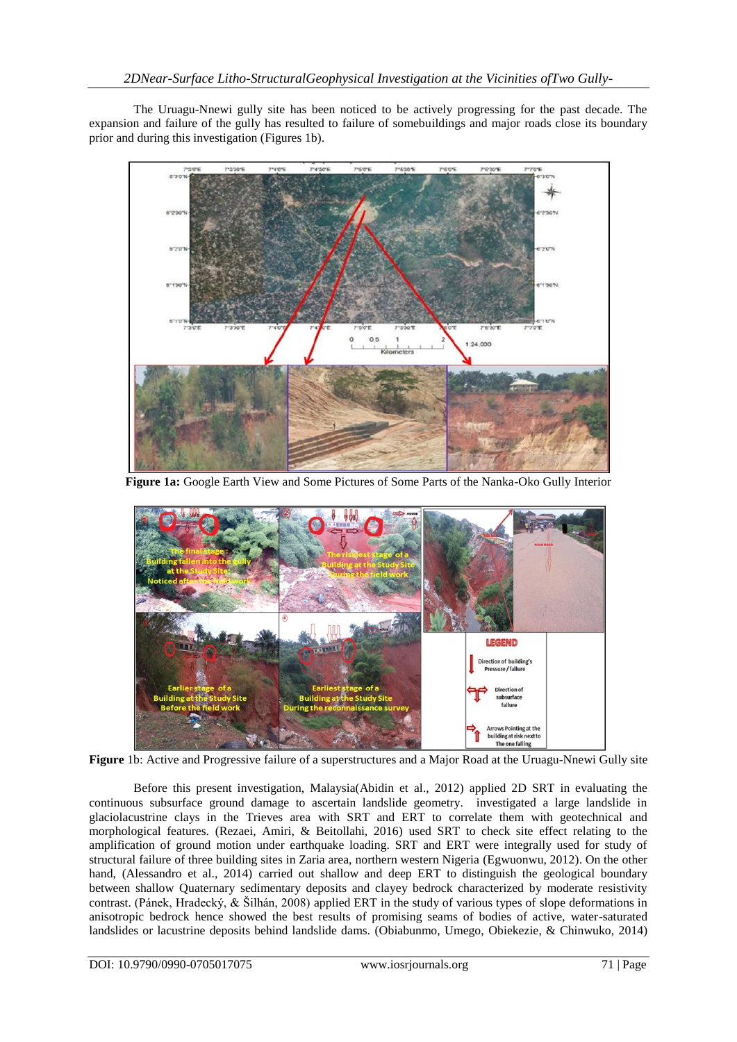The Uruagu-Nnewi gully site has been noticed to be actively progressing for the past decade. The expansion and failure of the gully has resulted to failure of somebuildings and major roads close its boundary prior and during this investigation (Figures 1b).



**Figure 1a:** Google Earth View and Some Pictures of Some Parts of the Nanka-Oko Gully Interior



**Figure** 1b: Active and Progressive failure of a superstructures and a Major Road at the Uruagu-Nnewi Gully site

Before this present investigation, Malaysia(Abidin et al., 2012) applied 2D SRT in evaluating the continuous subsurface ground damage to ascertain landslide geometry. investigated a large landslide in glaciolacustrine clays in the Trieves area with SRT and ERT to correlate them with geotechnical and morphological features. (Rezaei, Amiri, & Beitollahi, 2016) used SRT to check site effect relating to the amplification of ground motion under earthquake loading. SRT and ERT were integrally used for study of structural failure of three building sites in Zaria area, northern western Nigeria (Egwuonwu, 2012). On the other hand, (Alessandro et al., 2014) carried out shallow and deep ERT to distinguish the geological boundary between shallow Quaternary sedimentary deposits and clayey bedrock characterized by moderate resistivity contrast. (Pánek, Hradecký, & Šilhán, 2008) applied ERT in the study of various types of slope deformations in anisotropic bedrock hence showed the best results of promising seams of bodies of active, water-saturated landslides or lacustrine deposits behind landslide dams. (Obiabunmo, Umego, Obiekezie, & Chinwuko, 2014)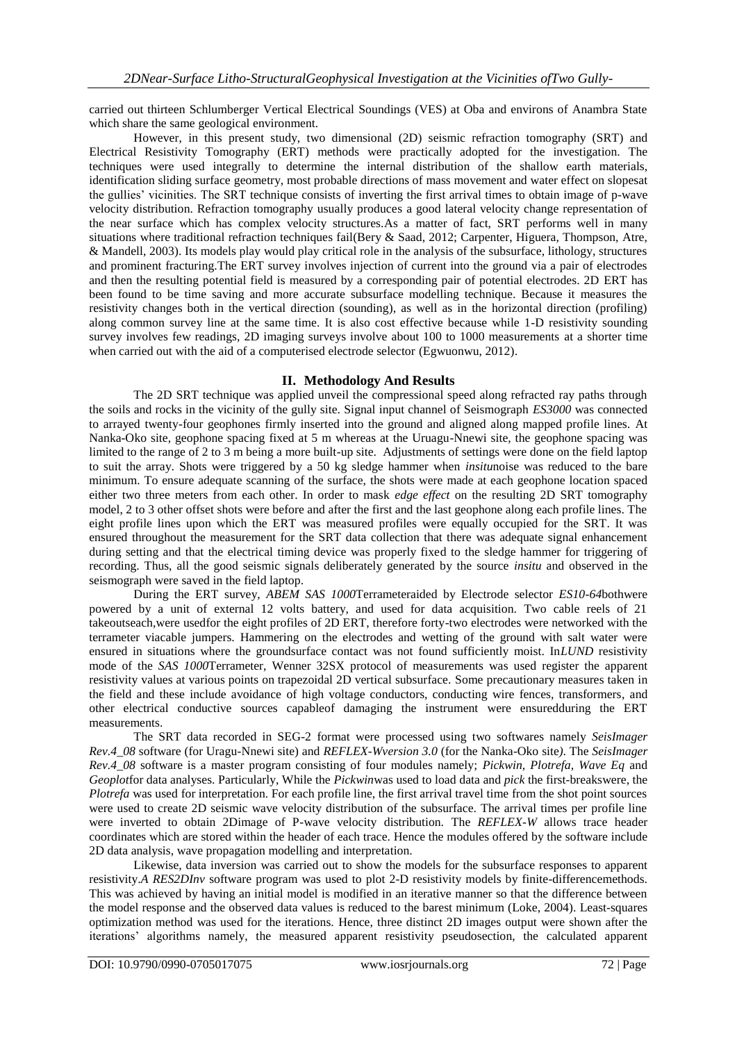carried out thirteen Schlumberger Vertical Electrical Soundings (VES) at Oba and environs of Anambra State which share the same geological environment.

However, in this present study, two dimensional (2D) seismic refraction tomography (SRT) and Electrical Resistivity Tomography (ERT) methods were practically adopted for the investigation. The techniques were used integrally to determine the internal distribution of the shallow earth materials, identification sliding surface geometry, most probable directions of mass movement and water effect on slopesat the gullies' vicinities. The SRT technique consists of inverting the first arrival times to obtain image of p-wave velocity distribution. Refraction tomography usually produces a good lateral velocity change representation of the near surface which has complex velocity structures.As a matter of fact, SRT performs well in many situations where traditional refraction techniques fail(Bery & Saad, 2012; Carpenter, Higuera, Thompson, Atre, & Mandell, 2003). Its models play would play critical role in the analysis of the subsurface, lithology, structures and prominent fracturing.The ERT survey involves injection of current into the ground via a pair of electrodes and then the resulting potential field is measured by a corresponding pair of potential electrodes. 2D ERT has been found to be time saving and more accurate subsurface modelling technique. Because it measures the resistivity changes both in the vertical direction (sounding), as well as in the horizontal direction (profiling) along common survey line at the same time. It is also cost effective because while 1-D resistivity sounding survey involves few readings, 2D imaging surveys involve about 100 to 1000 measurements at a shorter time when carried out with the aid of a computerised electrode selector (Egwuonwu, 2012).

# **II. Methodology And Results**

The 2D SRT technique was applied unveil the compressional speed along refracted ray paths through the soils and rocks in the vicinity of the gully site. Signal input channel of Seismograph *ES3000* was connected to arrayed twenty-four geophones firmly inserted into the ground and aligned along mapped profile lines. At Nanka-Oko site, geophone spacing fixed at 5 m whereas at the Uruagu-Nnewi site, the geophone spacing was limited to the range of 2 to 3 m being a more built-up site. Adjustments of settings were done on the field laptop to suit the array. Shots were triggered by a 50 kg sledge hammer when *insitu*noise was reduced to the bare minimum. To ensure adequate scanning of the surface, the shots were made at each geophone location spaced either two three meters from each other. In order to mask *edge effect* on the resulting 2D SRT tomography model, 2 to 3 other offset shots were before and after the first and the last geophone along each profile lines. The eight profile lines upon which the ERT was measured profiles were equally occupied for the SRT. It was ensured throughout the measurement for the SRT data collection that there was adequate signal enhancement during setting and that the electrical timing device was properly fixed to the sledge hammer for triggering of recording. Thus, all the good seismic signals deliberately generated by the source *insitu* and observed in the seismograph were saved in the field laptop.

During the ERT survey, *ABEM SAS 1000*Terrameteraided by Electrode selector *ES10-64*bothwere powered by a unit of external 12 volts battery, and used for data acquisition. Two cable reels of 21 takeoutseach,were usedfor the eight profiles of 2D ERT, therefore forty-two electrodes were networked with the terrameter viacable jumpers. Hammering on the electrodes and wetting of the ground with salt water were ensured in situations where the groundsurface contact was not found sufficiently moist. In*LUND* resistivity mode of the *SAS 1000*Terrameter, Wenner 32SX protocol of measurements was used register the apparent resistivity values at various points on trapezoidal 2D vertical subsurface. Some precautionary measures taken in the field and these include avoidance of high voltage conductors, conducting wire fences, transformers, and other electrical conductive sources capableof damaging the instrument were ensuredduring the ERT measurements.

The SRT data recorded in SEG-2 format were processed using two softwares namely *SeisImager Rev.4\_08* software (for Uragu-Nnewi site) and *REFLEX-Wversion 3.0* (for the Nanka-Oko site*)*. The *SeisImager Rev.4\_08* software is a master program consisting of four modules namely; *Pickwin, Plotrefa, Wave Eq* and *Geoplot*for data analyses. Particularly, While the *Pickwin*was used to load data and *pick* the first-breakswere, the *Plotrefa* was used for interpretation. For each profile line, the first arrival travel time from the shot point sources were used to create 2D seismic wave velocity distribution of the subsurface. The arrival times per profile line were inverted to obtain 2Dimage of P-wave velocity distribution. The *REFLEX-W* allows trace header coordinates which are stored within the header of each trace. Hence the modules offered by the software include 2D data analysis, wave propagation modelling and interpretation.

Likewise, data inversion was carried out to show the models for the subsurface responses to apparent resistivity.*A RES2DInv* software program was used to plot 2-D resistivity models by finite-differencemethods. This was achieved by having an initial model is modified in an iterative manner so that the difference between the model response and the observed data values is reduced to the barest minimum (Loke, 2004). Least-squares optimization method was used for the iterations. Hence, three distinct 2D images output were shown after the iterations' algorithms namely, the measured apparent resistivity pseudosection, the calculated apparent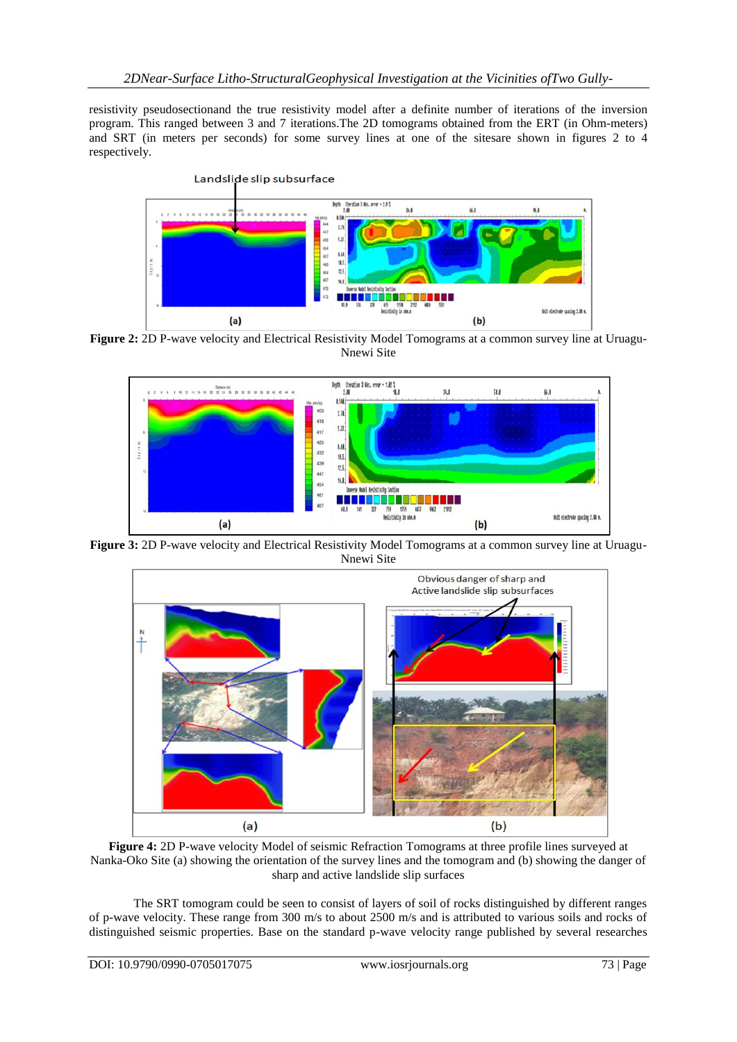resistivity pseudosectionand the true resistivity model after a definite number of iterations of the inversion program. This ranged between 3 and 7 iterations.The 2D tomograms obtained from the ERT (in Ohm-meters) and SRT (in meters per seconds) for some survey lines at one of the sitesare shown in figures 2 to 4 respectively.



Figure 2: 2D P-wave velocity and Electrical Resistivity Model Tomograms at a common survey line at Uruagu-Nnewi Site



**Figure 3:** 2D P-wave velocity and Electrical Resistivity Model Tomograms at a common survey line at Uruagu-Nnewi Site



**Figure 4:** 2D P-wave velocity Model of seismic Refraction Tomograms at three profile lines surveyed at Nanka-Oko Site (a) showing the orientation of the survey lines and the tomogram and (b) showing the danger of sharp and active landslide slip surfaces

The SRT tomogram could be seen to consist of layers of soil of rocks distinguished by different ranges of p-wave velocity. These range from 300 m/s to about 2500 m/s and is attributed to various soils and rocks of distinguished seismic properties. Base on the standard p-wave velocity range published by several researches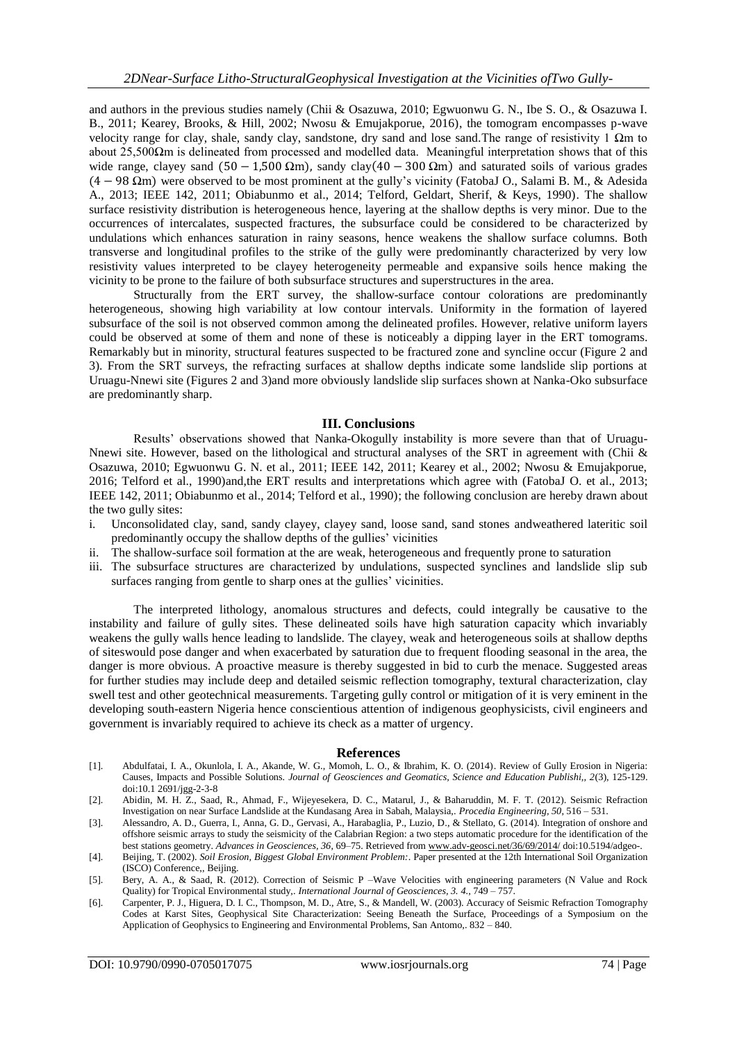and authors in the previous studies namely (Chii & Osazuwa, 2010; Egwuonwu G. N., Ibe S. O., & Osazuwa I. B., 2011; Kearey, Brooks, & Hill, 2002; Nwosu & Emujakporue, 2016), the tomogram encompasses p-wave velocity range for clay, shale, sandy clay, sandstone, dry sand and lose sand.The range of resistivity 1 Ωm to about 25,500 $\Omega$ m is delineated from processed and modelled data. Meaningful interpretation shows that of this wide range, clayey sand  $(50 - 1.500 \Omega m)$ , sandy clay $(40 - 300 \Omega m)$  and saturated soils of various grades (4− 98 Ωm) were observed to be most prominent at the gully's vicinity (FatobaJ O., Salami B. M., & Adesida A., 2013; IEEE 142, 2011; Obiabunmo et al., 2014; Telford, Geldart, Sherif, & Keys, 1990). The shallow surface resistivity distribution is heterogeneous hence, layering at the shallow depths is very minor. Due to the occurrences of intercalates, suspected fractures, the subsurface could be considered to be characterized by undulations which enhances saturation in rainy seasons, hence weakens the shallow surface columns. Both transverse and longitudinal profiles to the strike of the gully were predominantly characterized by very low resistivity values interpreted to be clayey heterogeneity permeable and expansive soils hence making the vicinity to be prone to the failure of both subsurface structures and superstructures in the area.

Structurally from the ERT survey, the shallow-surface contour colorations are predominantly heterogeneous, showing high variability at low contour intervals. Uniformity in the formation of layered subsurface of the soil is not observed common among the delineated profiles. However, relative uniform layers could be observed at some of them and none of these is noticeably a dipping layer in the ERT tomograms. Remarkably but in minority, structural features suspected to be fractured zone and syncline occur (Figure 2 and 3). From the SRT surveys, the refracting surfaces at shallow depths indicate some landslide slip portions at Uruagu-Nnewi site (Figures 2 and 3)and more obviously landslide slip surfaces shown at Nanka-Oko subsurface are predominantly sharp.

### **III. Conclusions**

Results' observations showed that Nanka-Okogully instability is more severe than that of Uruagu-Nnewi site. However, based on the lithological and structural analyses of the SRT in agreement with (Chii & Osazuwa, 2010; Egwuonwu G. N. et al., 2011; IEEE 142, 2011; Kearey et al., 2002; Nwosu & Emujakporue, 2016; Telford et al., 1990)and,the ERT results and interpretations which agree with (FatobaJ O. et al., 2013; IEEE 142, 2011; Obiabunmo et al., 2014; Telford et al., 1990); the following conclusion are hereby drawn about the two gully sites:

- i. Unconsolidated clay, sand, sandy clayey, clayey sand, loose sand, sand stones andweathered lateritic soil predominantly occupy the shallow depths of the gullies' vicinities
- ii. The shallow-surface soil formation at the are weak, heterogeneous and frequently prone to saturation
- iii. The subsurface structures are characterized by undulations, suspected synclines and landslide slip sub surfaces ranging from gentle to sharp ones at the gullies' vicinities.

The interpreted lithology, anomalous structures and defects, could integrally be causative to the instability and failure of gully sites. These delineated soils have high saturation capacity which invariably weakens the gully walls hence leading to landslide. The clayey, weak and heterogeneous soils at shallow depths of siteswould pose danger and when exacerbated by saturation due to frequent flooding seasonal in the area, the danger is more obvious. A proactive measure is thereby suggested in bid to curb the menace. Suggested areas for further studies may include deep and detailed seismic reflection tomography, textural characterization, clay swell test and other geotechnical measurements. Targeting gully control or mitigation of it is very eminent in the developing south-eastern Nigeria hence conscientious attention of indigenous geophysicists, civil engineers and government is invariably required to achieve its check as a matter of urgency.

### **References**

- [1]. Abdulfatai, I. A., Okunlola, I. A., Akande, W. G., Momoh, L. O., & Ibrahim, K. O. (2014). Review of Gully Erosion in Nigeria: Causes, Impacts and Possible Solutions. *Journal of Geosciences and Geomatics, Science and Education Publishi,, 2*(3), 125-129. doi:10.1 2691/jgg-2-3-8
- [2]. Abidin, M. H. Z., Saad, R., Ahmad, F., Wijeyesekera, D. C., Matarul, J., & Baharuddin, M. F. T. (2012). Seismic Refraction Investigation on near Surface Landslide at the Kundasang Area in Sabah, Malaysia,. *Procedia Engineering, 50*, 516 – 531.
- [3]. Alessandro, A. D., Guerra, I., Anna, G. D., Gervasi, A., Harabaglia, P., Luzio, D., & Stellato, G. (2014). Integration of onshore and offshore seismic arrays to study the seismicity of the Calabrian Region: a two steps automatic procedure for the identification of the best stations geometry. *Advances in Geosciences, 36*, 69–75. Retrieved fro[m www.adv-geosci.net/36/69/2014/](file:///C:\Users\217052231\Downloads\www.adv-geosci.net\36\69\2014\) doi:10.5194/adgeo-.
- [4]. Beijing, T. (2002). *Soil Erosion, Biggest Global Environment Problem:*. Paper presented at the 12th International Soil Organization (ISCO) Conference,, Beijing.
- [5]. Bery, A. A., & Saad, R. (2012). Correction of Seismic P –Wave Velocities with engineering parameters (N Value and Rock Quality) for Tropical Environmental study,. *International Journal of Geosciences, 3. 4.*, 749 – 757.
- [6]. Carpenter, P. J., Higuera, D. I. C., Thompson, M. D., Atre, S., & Mandell, W. (2003). Accuracy of Seismic Refraction Tomography Codes at Karst Sites, Geophysical Site Characterization: Seeing Beneath the Surface, Proceedings of a Symposium on the Application of Geophysics to Engineering and Environmental Problems, San Antomo,. 832 – 840.